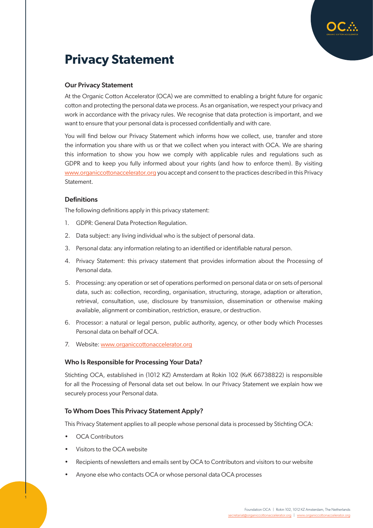

# **Privacy Statement**

# Our Privacy Statement

At the Organic Cotton Accelerator (OCA) we are committed to enabling a bright future for organic cotton and protecting the personal data we process. As an organisation, we respect your privacy and work in accordance with the privacy rules. We recognise that data protection is important, and we want to ensure that your personal data is processed confidentially and with care.

You will find below our Privacy Statement which informs how we collect, use, transfer and store the information you share with us or that we collect when you interact with OCA. We are sharing this information to show you how we comply with applicable rules and regulations such as GDPR and to keep you fully informed about your rights (and how to enforce them). By visiting [www.organiccottonaccelerator.org](http://www.organiccottonaccelerator.org) you accept and consent to the practices described in this Privacy Statement.

# **Definitions**

The following definitions apply in this privacy statement:

- 1. GDPR: General Data Protection Regulation.
- 2. Data subject: any living individual who is the subject of personal data.
- 3. Personal data: any information relating to an identified or identifiable natural person.
- 4. Privacy Statement: this privacy statement that provides information about the Processing of Personal data.
- 5. Processing: any operation or set of operations performed on personal data or on sets of personal data, such as: collection, recording, organisation, structuring, storage, adaption or alteration, retrieval, consultation, use, disclosure by transmission, dissemination or otherwise making available, alignment or combination, restriction, erasure, or destruction.
- 6. Processor: a natural or legal person, public authority, agency, or other body which Processes Personal data on behalf of OCA.
- 7. Website: [www.organiccottonaccelerator.org](http://www.organiccottonaccelerator.org)

## Who Is Responsible for Processing Your Data?

Stichting OCA, established in (1012 KZ) Amsterdam at Rokin 102 (KvK 66738822) is responsible for all the Processing of Personal data set out below. In our Privacy Statement we explain how we securely process your Personal data.

## To Whom Does This Privacy Statement Apply?

This Privacy Statement applies to all people whose personal data is processed by Stichting OCA:

• OCA Contributors

1

- Visitors to the OCA website
- Recipients of newsletters and emails sent by OCA to Contributors and visitors to our website
- Anyone else who contacts OCA or whose personal data OCA processes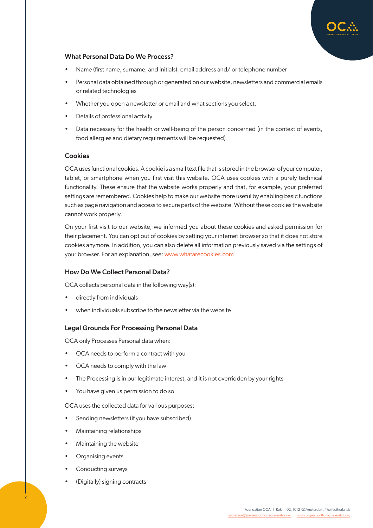

# What Personal Data Do We Process?

- Name (first name, surname, and initials), email address and/ or telephone number
- Personal data obtained through or generated on our website, newsletters and commercial emails or related technologies
- Whether you open a newsletter or email and what sections you select.
- Details of professional activity
- Data necessary for the health or well-being of the person concerned (in the context of events, food allergies and dietary requirements will be requested)

## **Cookies**

OCA uses functional cookies. A cookie is a small text file that is stored in the browser of your computer, tablet, or smartphone when you first visit this website. OCA uses cookies with a purely technical functionality. These ensure that the website works properly and that, for example, your preferred settings are remembered. Cookies help to make our website more useful by enabling basic functions such as page navigation and access to secure parts of the website. Without these cookies the website cannot work properly.

On your first visit to our website, we informed you about these cookies and asked permission for their placement. You can opt out of cookies by setting your internet browser so that it does not store cookies anymore. In addition, you can also delete all information previously saved via the settings of your browser. For an explanation, see: [www.whatarecookies.com](http://www.whatarecookies.com)

# How Do We Collect Personal Data?

OCA collects personal data in the following way(s):

- directly from individuals
- when individuals subscribe to the newsletter via the website

# Legal Grounds For Processing Personal Data

OCA only Processes Personal data when:

- OCA needs to perform a contract with you
- OCA needs to comply with the law
- The Processing is in our legitimate interest, and it is not overridden by your rights
- You have given us permission to do so

OCA uses the collected data for various purposes:

- Sending newsletters (if you have subscribed)
- Maintaining relationships
- Maintaining the website
- Organising events
- Conducting surveys
- (Digitally) signing contracts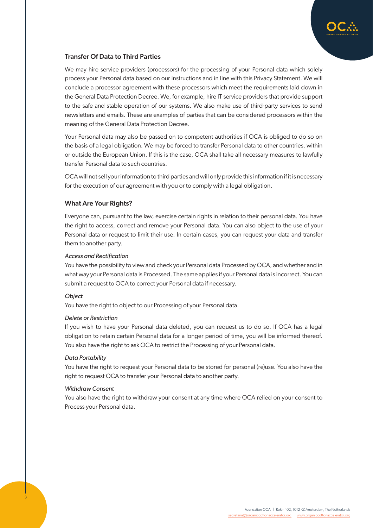

## Transfer Of Data to Third Parties

We may hire service providers (processors) for the processing of your Personal data which solely process your Personal data based on our instructions and in line with this Privacy Statement. We will conclude a processor agreement with these processors which meet the requirements laid down in the General Data Protection Decree. We, for example, hire IT service providers that provide support to the safe and stable operation of our systems. We also make use of third-party services to send newsletters and emails. These are examples of parties that can be considered processors within the meaning of the General Data Protection Decree.

Your Personal data may also be passed on to competent authorities if OCA is obliged to do so on the basis of a legal obligation. We may be forced to transfer Personal data to other countries, within or outside the European Union. If this is the case, OCA shall take all necessary measures to lawfully transfer Personal data to such countries.

OCA will not sell your information to third parties and will only provide this information if it is necessary for the execution of our agreement with you or to comply with a legal obligation.

## What Are Your Rights?

Everyone can, pursuant to the law, exercise certain rights in relation to their personal data. You have the right to access, correct and remove your Personal data. You can also object to the use of your Personal data or request to limit their use. In certain cases, you can request your data and transfer them to another party.

#### *Access and Rectification*

You have the possibility to view and check your Personal data Processed by OCA, and whether and in what way your Personal data is Processed. The same applies if your Personal data is incorrect. You can submit a request to OCA to correct your Personal data if necessary.

#### *Object*

You have the right to object to our Processing of your Personal data.

#### *Delete or Restriction*

If you wish to have your Personal data deleted, you can request us to do so. If OCA has a legal obligation to retain certain Personal data for a longer period of time, you will be informed thereof. You also have the right to ask OCA to restrict the Processing of your Personal data.

#### *Data Portability*

You have the right to request your Personal data to be stored for personal (re)use. You also have the right to request OCA to transfer your Personal data to another party.

#### *Withdraw Consent*

3

You also have the right to withdraw your consent at any time where OCA relied on your consent to Process your Personal data.